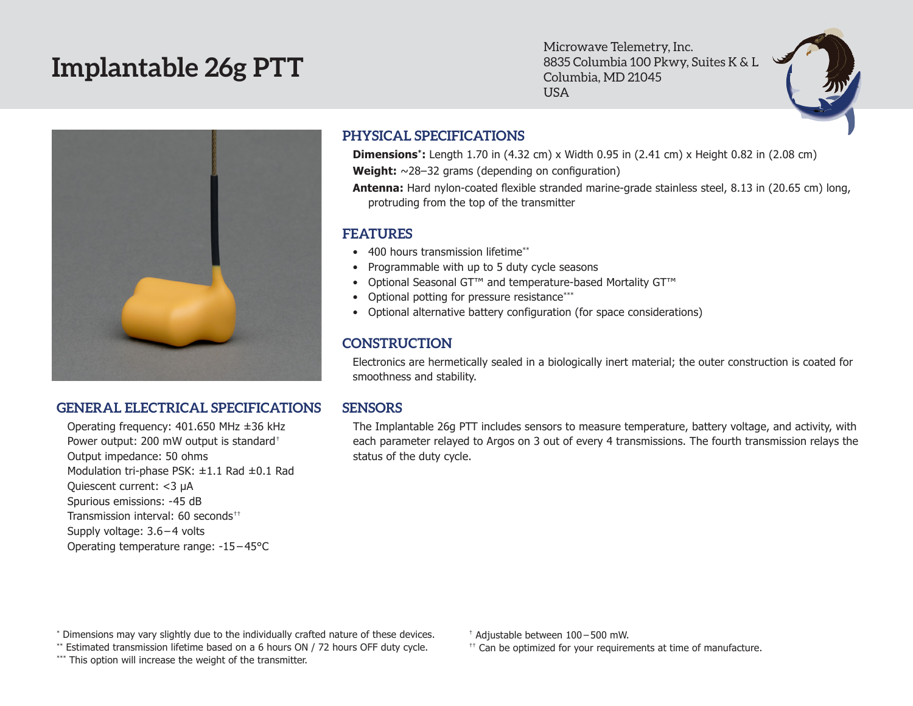# **Implantable 26g PTT**

Microwave Telemetry, Inc. 8835 Columbia 100 Pkwy, Suites K & L Columbia, MD 21045 USA



#### **GENERAL ELECTRICAL SPECIFICATIONS SENSORS**

Operating frequency: 401.650 MHz ±36 kHz Power output: 200 mW output is standard† Output impedance: 50 ohms Modulation tri-phase PSK: ±1.1 Rad ±0.1 Rad Quiescent current: <3 µA Spurious emissions: -45 dB Transmission interval: 60 seconds<sup>††</sup> Supply voltage: 3.6 – 4 volts Operating temperature range: -15 – 45°C

### **PHYSICAL SPECIFICATIONS**

**Dimensions\*:** Length 1.70 in (4.32 cm) x Width 0.95 in (2.41 cm) x Height 0.82 in (2.08 cm) **Weight:** ~28–32 grams (depending on configuration)

**Antenna:** Hard nylon-coated flexible stranded marine-grade stainless steel, 8.13 in (20.65 cm) long, protruding from the top of the transmitter

#### **FEATURES**

- 400 hours transmission lifetime\*\*
- Programmable with up to 5 duty cycle seasons
- • Optional Seasonal GT™ and temperature-based Mortality GT™
- Optional potting for pressure resistance\*\*\*
- • Optional alternative battery configuration (for space considerations)

## **CONSTRUCTION**

Electronics are hermetically sealed in a biologically inert material; the outer construction is coated for smoothness and stability.

The Implantable 26g PTT includes sensors to measure temperature, battery voltage, and activity, with each parameter relayed to Argos on 3 out of every 4 transmissions. The fourth transmission relays the status of the duty cycle.

\* Dimensions may vary slightly due to the individually crafted nature of these devices.

\*\* Estimated transmission lifetime based on a 6 hours ON / 72 hours OFF duty cycle.

\*\*\* This option will increase the weight of the transmitter.

† Adjustable between 100 – 500 mW.

 $<sup>††</sup>$  Can be optimized for your requirements at time of manufacture.</sup>